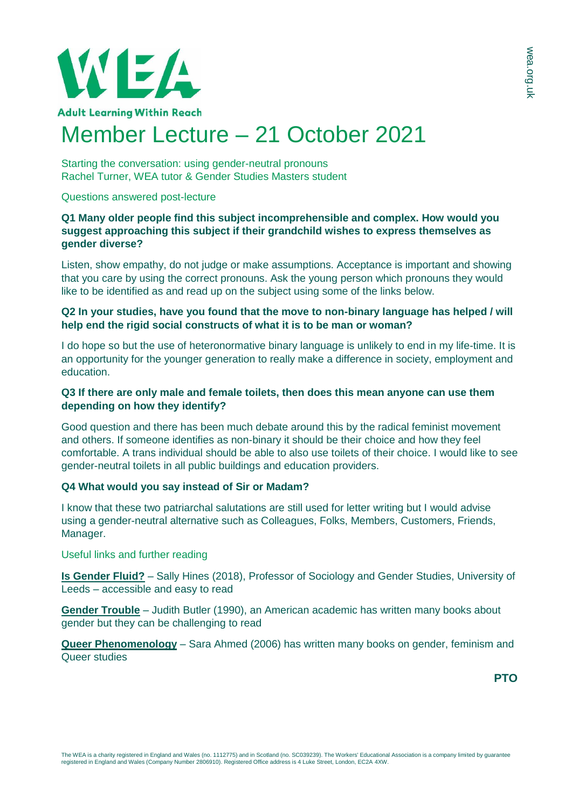

Starting the conversation: using gender-neutral pronouns Rachel Turner, WEA tutor & Gender Studies Masters student

#### Questions answered post-lecture

## **Q1 Many older people find this subject incomprehensible and complex. How would you suggest approaching this subject if their grandchild wishes to express themselves as gender diverse?**

Listen, show empathy, do not judge or make assumptions. Acceptance is important and showing that you care by using the correct pronouns. Ask the young person which pronouns they would like to be identified as and read up on the subject using some of the links below.

## **Q2 In your studies, have you found that the move to non-binary language has helped / will help end the rigid social constructs of what it is to be man or woman?**

I do hope so but the use of heteronormative binary language is unlikely to end in my life-time. It is an opportunity for the younger generation to really make a difference in society, employment and education.

### **Q3 If there are only male and female toilets, then does this mean anyone can use them depending on how they identify?**

Good question and there has been much debate around this by the radical feminist movement and others. If someone identifies as non-binary it should be their choice and how they feel comfortable. A trans individual should be able to also use toilets of their choice. I would like to see gender-neutral toilets in all public buildings and education providers.

# **Q4 What would you say instead of Sir or Madam?**

I know that these two patriarchal salutations are still used for letter writing but I would advise using a gender-neutral alternative such as Colleagues, Folks, Members, Customers, Friends, Manager.

### Useful links and further reading

**[Is Gender Fluid?](https://www.amazon.co.uk/Gender-Fluid-primer-21st-century/dp/0500293686)** – Sally Hines (2018), Professor of Sociology and Gender Studies, University of Leeds – accessible and easy to read

**[Gender Trouble](https://www.amazon.co.uk/Gender-Trouble-Routledge-Classics-Judith/dp/0415389550)** – Judith Butler (1990), an American academic has written many books about gender but they can be challenging to read

**[Queer Phenomenology](https://www.amazon.co.uk/Queer-Phenomenology-Orientations-Objects-Others/dp/0822339145)** – Sara Ahmed (2006) has written many books on gender, feminism and Queer studies